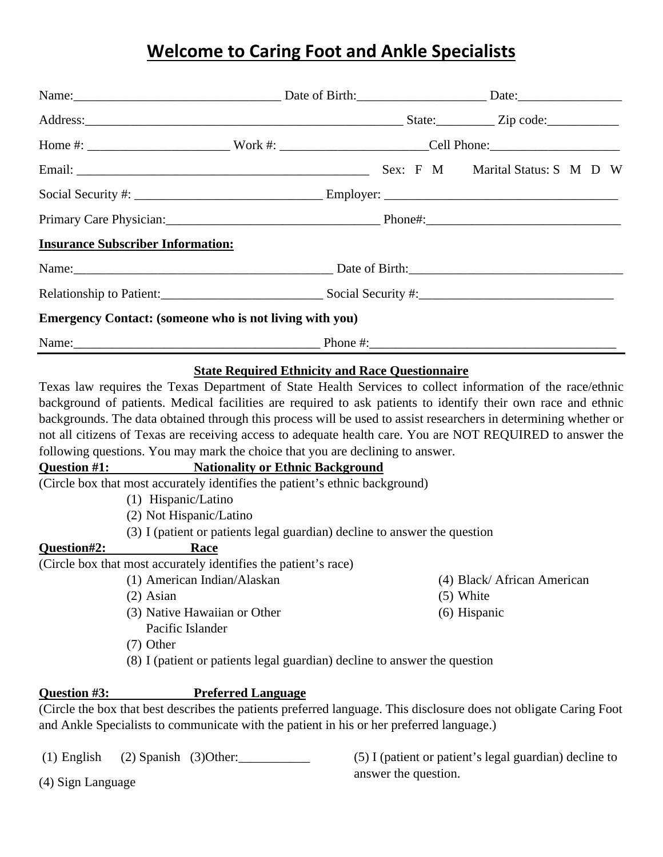# **Welcome to Caring Foot and Ankle Specialists**

|                                          | Name: Date: Date: Date: Date: Date: Date: Date: Date: Date: Date: Date: Date: Date: Date: Date: Date: Date: Date: Date: Date: Date: Date: Date: Date: Date: Date: Date: Date: Date: Date: Date: Date: Date: Date: Date: Date:                                                                                                                                                                                                                            |                                                           |
|------------------------------------------|----------------------------------------------------------------------------------------------------------------------------------------------------------------------------------------------------------------------------------------------------------------------------------------------------------------------------------------------------------------------------------------------------------------------------------------------------------|-----------------------------------------------------------|
|                                          |                                                                                                                                                                                                                                                                                                                                                                                                                                                          |                                                           |
|                                          |                                                                                                                                                                                                                                                                                                                                                                                                                                                          |                                                           |
|                                          |                                                                                                                                                                                                                                                                                                                                                                                                                                                          |                                                           |
|                                          |                                                                                                                                                                                                                                                                                                                                                                                                                                                          |                                                           |
|                                          |                                                                                                                                                                                                                                                                                                                                                                                                                                                          |                                                           |
| <b>Insurance Subscriber Information:</b> |                                                                                                                                                                                                                                                                                                                                                                                                                                                          |                                                           |
|                                          |                                                                                                                                                                                                                                                                                                                                                                                                                                                          |                                                           |
|                                          |                                                                                                                                                                                                                                                                                                                                                                                                                                                          |                                                           |
|                                          | <b>Emergency Contact: (someone who is not living with you)</b>                                                                                                                                                                                                                                                                                                                                                                                           |                                                           |
|                                          | Name: <u>Name:</u> 2008. [2013] Phone #: 2014 Phone #: 2014                                                                                                                                                                                                                                                                                                                                                                                              |                                                           |
| (1) Hispanic/Latino                      | backgrounds. The data obtained through this process will be used to assist researchers in determining whether or<br>not all citizens of Texas are receiving access to adequate health care. You are NOT REQUIRED to answer the<br>following questions. You may mark the choice that you are declining to answer.<br><b>Question #1:</b> Nationality or Ethnic Background<br>(Circle box that most accurately identifies the patient's ethnic background) |                                                           |
| Question#2:<br><u>Race</u>               | (2) Not Hispanic/Latino<br>(3) I (patient or patients legal guardian) decline to answer the question                                                                                                                                                                                                                                                                                                                                                     |                                                           |
| $(2)$ Asian<br>$(7)$ Other               | (Circle box that most accurately identifies the patient's race)<br>(1) American Indian/Alaskan<br>(3) Native Hawaiian or Other<br>Pacific Islander<br>(8) I (patient or patients legal guardian) decline to answer the question                                                                                                                                                                                                                          | (4) Black/African American<br>$(5)$ White<br>(6) Hispanic |
| Question #3:                             | <b>Preferred Language</b><br>(Circle the box that best describes the patients preferred language. This disclosure does not obligate Caring Foot<br>and Ankle Specialists to communicate with the patient in his or her preferred language.)                                                                                                                                                                                                              |                                                           |

(1) English (2) Spanish (3)Other:\_\_\_\_\_\_\_\_\_\_\_

(5) I (patient or patient's legal guardian) decline to answer the question.

(4) Sign Language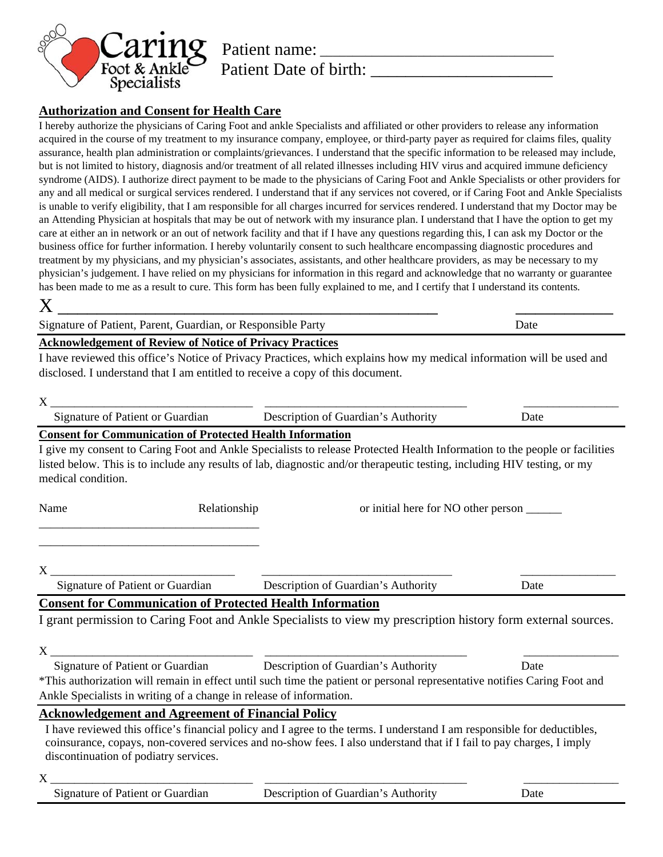

### **Authorization and Consent for Health Care**

I hereby authorize the physicians of Caring Foot and ankle Specialists and affiliated or other providers to release any information acquired in the course of my treatment to my insurance company, employee, or third-party payer as required for claims files, quality assurance, health plan administration or complaints/grievances. I understand that the specific information to be released may include, but is not limited to history, diagnosis and/or treatment of all related illnesses including HIV virus and acquired immune deficiency syndrome (AIDS). I authorize direct payment to be made to the physicians of Caring Foot and Ankle Specialists or other providers for any and all medical or surgical services rendered. I understand that if any services not covered, or if Caring Foot and Ankle Specialists is unable to verify eligibility, that I am responsible for all charges incurred for services rendered. I understand that my Doctor may be an Attending Physician at hospitals that may be out of network with my insurance plan. I understand that I have the option to get my care at either an in network or an out of network facility and that if I have any questions regarding this, I can ask my Doctor or the business office for further information. I hereby voluntarily consent to such healthcare encompassing diagnostic procedures and treatment by my physicians, and my physician's associates, assistants, and other healthcare providers, as may be necessary to my physician's judgement. I have relied on my physicians for information in this regard and acknowledge that no warranty or guarantee has been made to me as a result to cure. This form has been fully explained to me, and I certify that I understand its contents. X \_\_\_\_\_\_\_\_\_\_\_\_\_\_\_\_\_\_\_\_\_\_\_\_\_\_\_\_\_\_\_\_\_\_\_\_\_\_\_ \_\_\_\_\_\_\_\_\_\_

Signature of Patient, Parent, Guardian, or Responsible Party Date

### **Acknowledgement of Review of Notice of Privacy Practices**

I have reviewed this office's Notice of Privacy Practices, which explains how my medical information will be used and disclosed. I understand that I am entitled to receive a copy of this document.

| X                                                                                                                                                                                                                                                                                                                                                |                                                                                                                                                                                                                                                 |      |
|--------------------------------------------------------------------------------------------------------------------------------------------------------------------------------------------------------------------------------------------------------------------------------------------------------------------------------------------------|-------------------------------------------------------------------------------------------------------------------------------------------------------------------------------------------------------------------------------------------------|------|
| Signature of Patient or Guardian                                                                                                                                                                                                                                                                                                                 | Description of Guardian's Authority                                                                                                                                                                                                             | Date |
| <b>Consent for Communication of Protected Health Information</b><br>I give my consent to Caring Foot and Ankle Specialists to release Protected Health Information to the people or facilities<br>listed below. This is to include any results of lab, diagnostic and/or therapeutic testing, including HIV testing, or my<br>medical condition. |                                                                                                                                                                                                                                                 |      |
| Name<br>Relationship                                                                                                                                                                                                                                                                                                                             | or initial here for NO other person _________                                                                                                                                                                                                   |      |
| X<br>Signature of Patient or Guardian                                                                                                                                                                                                                                                                                                            | Description of Guardian's Authority                                                                                                                                                                                                             | Date |
| <b>Consent for Communication of Protected Health Information</b><br>I grant permission to Caring Foot and Ankle Specialists to view my prescription history form external sources.                                                                                                                                                               |                                                                                                                                                                                                                                                 |      |
| X<br>Signature of Patient or Guardian<br>*This authorization will remain in effect until such time the patient or personal representative notifies Caring Foot and<br>Ankle Specialists in writing of a change in release of information.                                                                                                        | Description of Guardian's Authority                                                                                                                                                                                                             | Date |
| <b>Acknowledgement and Agreement of Financial Policy</b>                                                                                                                                                                                                                                                                                         |                                                                                                                                                                                                                                                 |      |
| discontinuation of podiatry services.                                                                                                                                                                                                                                                                                                            | I have reviewed this office's financial policy and I agree to the terms. I understand I am responsible for deductibles,<br>coinsurance, copays, non-covered services and no-show fees. I also understand that if I fail to pay charges, I imply |      |
| X                                                                                                                                                                                                                                                                                                                                                |                                                                                                                                                                                                                                                 |      |

| Signature of Patient or Guardian | Description of Guardian's Authority | Jate |
|----------------------------------|-------------------------------------|------|
|----------------------------------|-------------------------------------|------|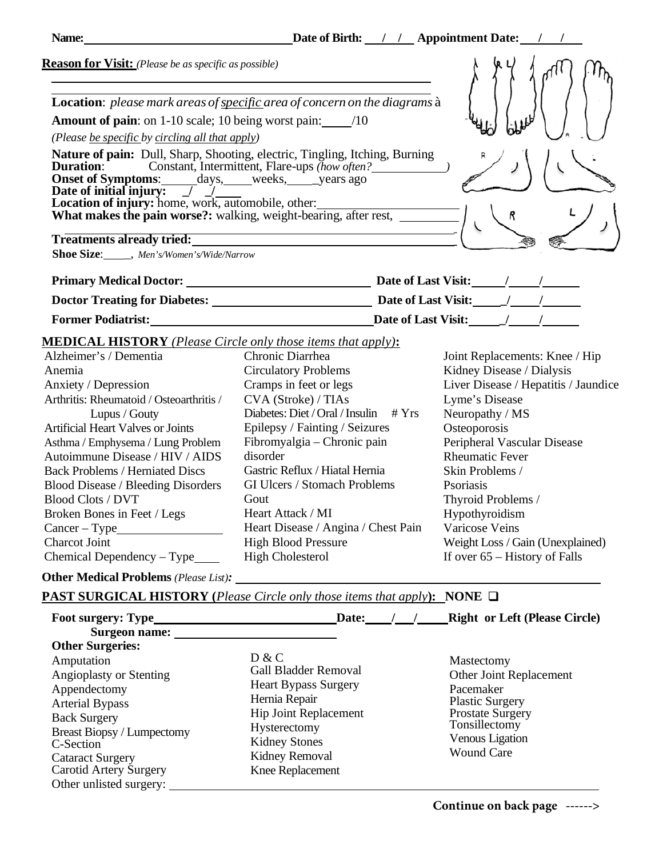| Name:                                                                                                                                                                                                                               | Date of Birth: // Appointment Date:                                                                                                                                                                                            |                              |  |
|-------------------------------------------------------------------------------------------------------------------------------------------------------------------------------------------------------------------------------------|--------------------------------------------------------------------------------------------------------------------------------------------------------------------------------------------------------------------------------|------------------------------|--|
| <b>Reason for Visit:</b> (Please be as specific as possible)                                                                                                                                                                        |                                                                                                                                                                                                                                |                              |  |
| (Please be specific by circling all that apply)                                                                                                                                                                                     | Location: please mark areas of specific area of concern on the diagrams à<br><b>Amount of pain:</b> on 1-10 scale; 10 being worst pain: $\frac{10}{10}$                                                                        |                              |  |
| Date of initial injury: $\boxed{1}$                                                                                                                                                                                                 | <b>Nature of pain:</b> Dull, Sharp, Shooting, electric, Tingling, Itching, Burning<br><b>Duration:</b> Constant, Intermittent, Flare-ups (how often?<br><b>Onset of Symptoms:</b> ______ days, _____ weeks, _____ years ago    |                              |  |
|                                                                                                                                                                                                                                     | Location of injury: home, work, automobile, other:<br>What makes the pain worse?: walking, weight-bearing, after rest,                                                                                                         |                              |  |
| <b>Shoe Size:</b> _____, Men's/Women's/Wide/Narrow                                                                                                                                                                                  | Treatments already tried: The material control of the state of the state of the state of the state of the state of the state of the state of the state of the state of the state of the state of the state of the state of the |                              |  |
| <b>Primary Medical Doctor:</b> The Second Second Second Second Second Second Second Second Second Second Second Second Second Second Second Second Second Second Second Second Second Second Second Second Second Second Second Sec |                                                                                                                                                                                                                                | Date of Last Visit: /        |  |
| <b>Doctor Treating for Diabetes:</b>                                                                                                                                                                                                |                                                                                                                                                                                                                                | Date of Last Visit: __ ___ / |  |
| <b>Former Podiatrist:</b>                                                                                                                                                                                                           |                                                                                                                                                                                                                                | <b>Date of Last Visit:</b>   |  |

## **MEDICAL HISTORY** *(Please Circle only those items that apply)***:**

| Alzheimer's / Dementia                    | Chronic Diarrhea                           | Joint Replacements: Knee / Hip       |
|-------------------------------------------|--------------------------------------------|--------------------------------------|
| Anemia                                    | <b>Circulatory Problems</b>                | Kidney Disease / Dialysis            |
| Anxiety / Depression                      | Cramps in feet or legs                     | Liver Disease / Hepatitis / Jaundice |
| Arthritis: Rheumatoid / Osteoarthritis /  | CVA (Stroke) / TIAs                        | Lyme's Disease                       |
| Lupus / Gouty                             | Diabetes: Diet / Oral / Insulin<br># $Yrs$ | Neuropathy / MS                      |
| <b>Artificial Heart Valves or Joints</b>  | Epilepsy / Fainting / Seizures             | Osteoporosis                         |
| Asthma / Emphysema / Lung Problem         | Fibromyalgia – Chronic pain                | Peripheral Vascular Disease          |
| Autoimmune Disease / HIV / AIDS           | disorder                                   | <b>Rheumatic Fever</b>               |
| <b>Back Problems / Herniated Discs</b>    | Gastric Reflux / Hiatal Hernia             | Skin Problems /                      |
| <b>Blood Disease / Bleeding Disorders</b> | GI Ulcers / Stomach Problems               | <b>P</b> soriasis                    |
| <b>Blood Clots / DVT</b>                  | Gout                                       | Thyroid Problems /                   |
| Broken Bones in Feet / Legs               | Heart Attack / MI                          | Hypothyroidism                       |
| $Cancer - Type$                           | Heart Disease / Angina / Chest Pain        | Varicose Veins                       |
| <b>Charcot Joint</b>                      | <b>High Blood Pressure</b>                 | Weight Loss / Gain (Unexplained)     |
| Chemical Dependency – Type                | <b>High Cholesterol</b>                    | If over $65$ – History of Falls      |

**Other Medical Problems** *(Please List):* 

**PAST SURGICAL HISTORY (***Please Circle only those items that apply***): NONE**

| Mastectomy<br>Other Joint Replacement<br>Pacemaker<br><b>Plastic Surgery</b><br>Prostate Surgery<br>Tonsillectomy<br><b>Venous Ligation</b><br><b>Wound Care</b> |
|------------------------------------------------------------------------------------------------------------------------------------------------------------------|
| <b>Gall Bladder Removal</b><br><b>Heart Bypass Surgery</b><br>Hip Joint Replacement                                                                              |